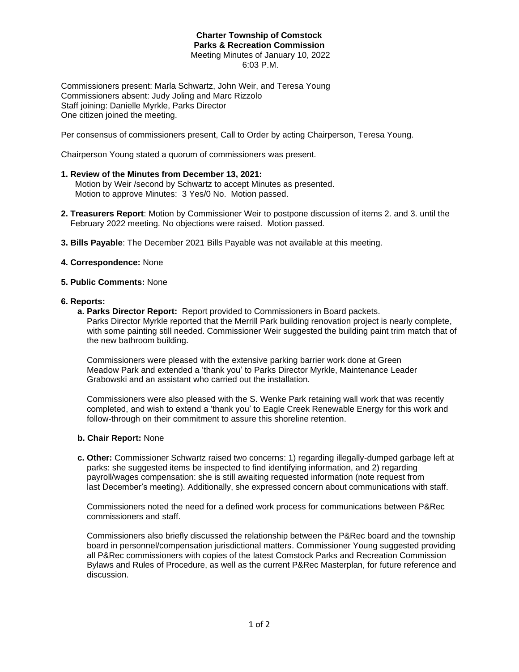## **Charter Township of Comstock Parks & Recreation Commission** Meeting Minutes of January 10, 2022 6:03 P.M.

Commissioners present: Marla Schwartz, John Weir, and Teresa Young Commissioners absent: Judy Joling and Marc Rizzolo Staff joining: Danielle Myrkle, Parks Director One citizen joined the meeting.

Per consensus of commissioners present, Call to Order by acting Chairperson, Teresa Young.

Chairperson Young stated a quorum of commissioners was present.

## **1. Review of the Minutes from December 13, 2021:**

 Motion by Weir /second by Schwartz to accept Minutes as presented. Motion to approve Minutes: 3 Yes/0 No. Motion passed.

- **2. Treasurers Report**: Motion by Commissioner Weir to postpone discussion of items 2. and 3. until the February 2022 meeting. No objections were raised. Motion passed.
- **3. Bills Payable**: The December 2021 Bills Payable was not available at this meeting.

## **4. Correspondence:** None

#### **5. Public Comments:** None

#### **6. Reports:**

 **a. Parks Director Report:** Report provided to Commissioners in Board packets. Parks Director Myrkle reported that the Merrill Park building renovation project is nearly complete, with some painting still needed. Commissioner Weir suggested the building paint trim match that of the new bathroom building.

 Commissioners were pleased with the extensive parking barrier work done at Green Meadow Park and extended a 'thank you' to Parks Director Myrkle, Maintenance Leader Grabowski and an assistant who carried out the installation.

 Commissioners were also pleased with the S. Wenke Park retaining wall work that was recently completed, and wish to extend a 'thank you' to Eagle Creek Renewable Energy for this work and follow-through on their commitment to assure this shoreline retention.

#### **b. Chair Report:** None

 **c. Other:** Commissioner Schwartz raised two concerns: 1) regarding illegally-dumped garbage left at parks: she suggested items be inspected to find identifying information, and 2) regarding payroll/wages compensation: she is still awaiting requested information (note request from last December's meeting). Additionally, she expressed concern about communications with staff.

 Commissioners noted the need for a defined work process for communications between P&Rec commissioners and staff.

 Commissioners also briefly discussed the relationship between the P&Rec board and the township board in personnel/compensation jurisdictional matters. Commissioner Young suggested providing all P&Rec commissioners with copies of the latest Comstock Parks and Recreation Commission Bylaws and Rules of Procedure, as well as the current P&Rec Masterplan, for future reference and discussion.